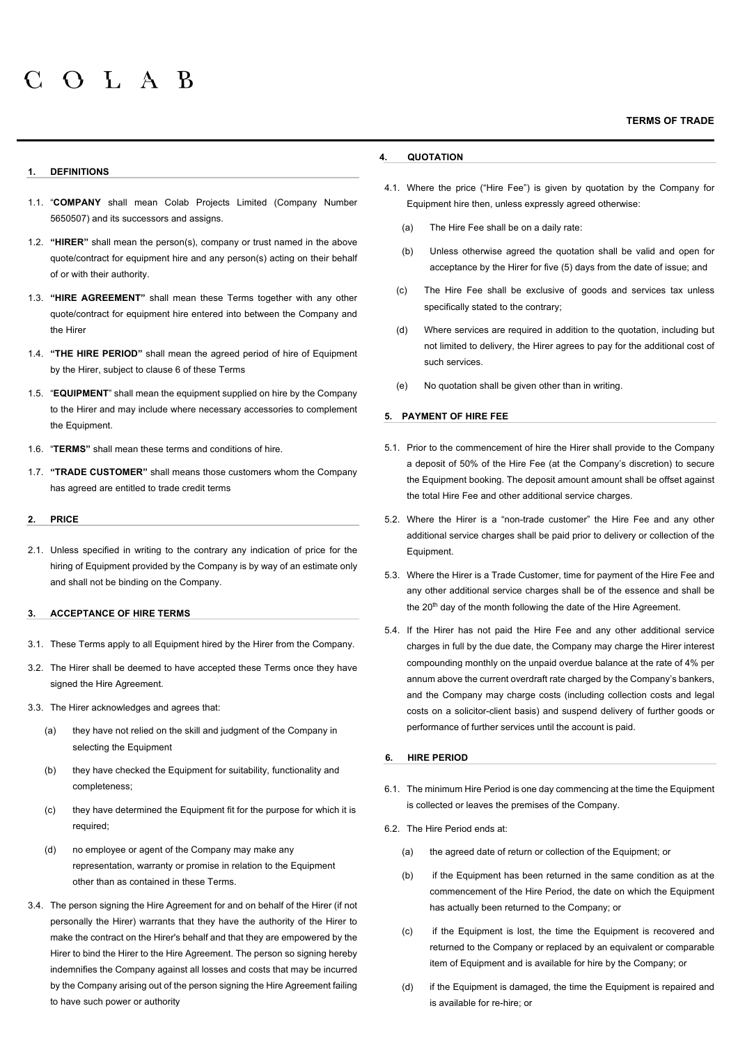# **1. DEFINITIONS**

- 1.1. "**COMPANY** shall mean Colab Projects Limited (Company Number 5650507) and its successors and assigns.
- 1.2. **"HIRER"** shall mean the person(s), company or trust named in the above quote/contract for equipment hire and any person(s) acting on their behalf of or with their authority.
- 1.3. **"HIRE AGREEMENT"** shall mean these Terms together with any other quote/contract for equipment hire entered into between the Company and the Hirer
- 1.4. **"THE HIRE PERIOD"** shall mean the agreed period of hire of Equipment by the Hirer, subject to clause 6 of these Terms
- 1.5. "**EQUIPMENT**" shall mean the equipment supplied on hire by the Company to the Hirer and may include where necessary accessories to complement the Equipment.
- 1.6. "**TERMS"** shall mean these terms and conditions of hire.
- 1.7. **"TRADE CUSTOMER"** shall means those customers whom the Company has agreed are entitled to trade credit terms

### **2. PRICE**

2.1. Unless specified in writing to the contrary any indication of price for the hiring of Equipment provided by the Company is by way of an estimate only and shall not be binding on the Company.

### **3. ACCEPTANCE OF HIRE TERMS**

- 3.1. These Terms apply to all Equipment hired by the Hirer from the Company.
- 3.2. The Hirer shall be deemed to have accepted these Terms once they have signed the Hire Agreement.
- 3.3. The Hirer acknowledges and agrees that:
	- (a) they have not relied on the skill and judgment of the Company in selecting the Equipment
	- (b) they have checked the Equipment for suitability, functionality and completeness;
	- (c) they have determined the Equipment fit for the purpose for which it is required;
	- (d) no employee or agent of the Company may make any representation, warranty or promise in relation to the Equipment other than as contained in these Terms.
- 3.4. The person signing the Hire Agreement for and on behalf of the Hirer (if not personally the Hirer) warrants that they have the authority of the Hirer to make the contract on the Hirer's behalf and that they are empowered by the Hirer to bind the Hirer to the Hire Agreement. The person so signing hereby indemnifies the Company against all losses and costs that may be incurred by the Company arising out of the person signing the Hire Agreement failing to have such power or authority

# **4. QUOTATION**

- 4.1. Where the price ("Hire Fee") is given by quotation by the Company for Equipment hire then, unless expressly agreed otherwise:
	- (a) The Hire Fee shall be on a daily rate:
	- (b) Unless otherwise agreed the quotation shall be valid and open for acceptance by the Hirer for five (5) days from the date of issue; and
	- (c) The Hire Fee shall be exclusive of goods and services tax unless specifically stated to the contrary;
	- (d) Where services are required in addition to the quotation, including but not limited to delivery, the Hirer agrees to pay for the additional cost of such services.
	- (e) No quotation shall be given other than in writing.

## **5. PAYMENT OF HIRE FEE**

- 5.1. Prior to the commencement of hire the Hirer shall provide to the Company a deposit of 50% of the Hire Fee (at the Company's discretion) to secure the Equipment booking. The deposit amount amount shall be offset against the total Hire Fee and other additional service charges.
- 5.2. Where the Hirer is a "non-trade customer" the Hire Fee and any other additional service charges shall be paid prior to delivery or collection of the **Equipment**
- 5.3. Where the Hirer is a Trade Customer, time for payment of the Hire Fee and any other additional service charges shall be of the essence and shall be the 20<sup>th</sup> day of the month following the date of the Hire Agreement.
- 5.4. If the Hirer has not paid the Hire Fee and any other additional service charges in full by the due date, the Company may charge the Hirer interest compounding monthly on the unpaid overdue balance at the rate of 4% per annum above the current overdraft rate charged by the Company's bankers, and the Company may charge costs (including collection costs and legal costs on a solicitor-client basis) and suspend delivery of further goods or performance of further services until the account is paid.

# **6. HIRE PERIOD**

- 6.1. The minimum Hire Period is one day commencing at the time the Equipment is collected or leaves the premises of the Company.
- 6.2. The Hire Period ends at:
	- (a) the agreed date of return or collection of the Equipment; or
	- (b) if the Equipment has been returned in the same condition as at the commencement of the Hire Period, the date on which the Equipment has actually been returned to the Company; or
	- (c) if the Equipment is lost, the time the Equipment is recovered and returned to the Company or replaced by an equivalent or comparable item of Equipment and is available for hire by the Company; or
	- (d) if the Equipment is damaged, the time the Equipment is repaired and is available for re-hire; or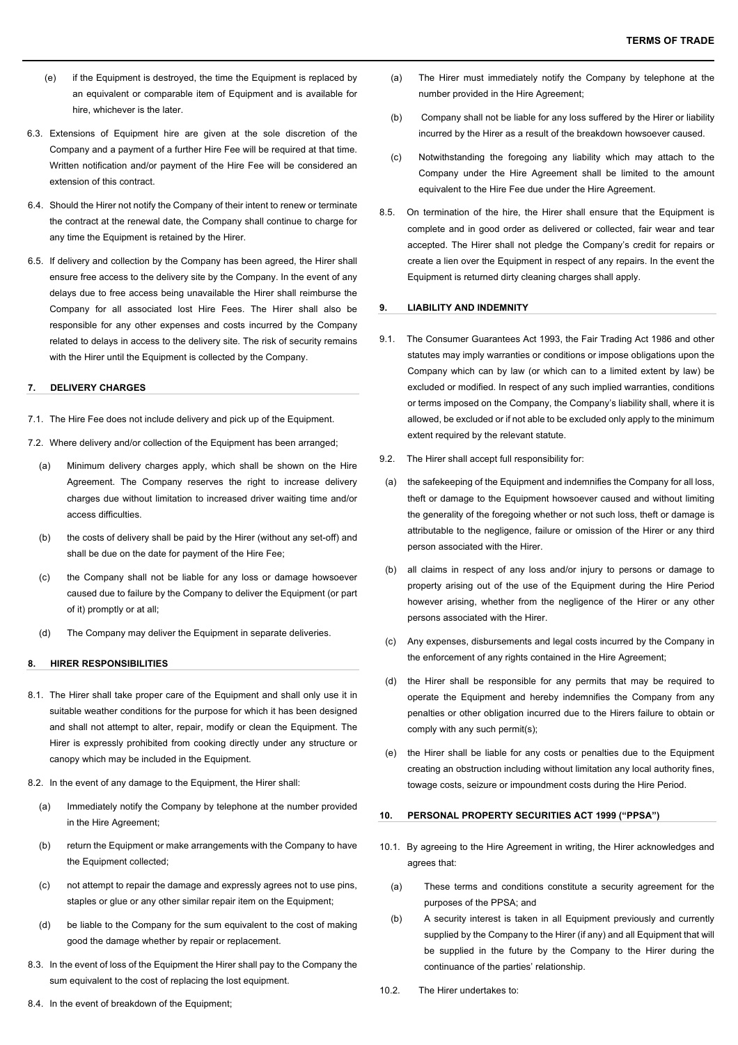- (e) if the Equipment is destroyed, the time the Equipment is replaced by an equivalent or comparable item of Equipment and is available for hire, whichever is the later.
- 6.3. Extensions of Equipment hire are given at the sole discretion of the Company and a payment of a further Hire Fee will be required at that time. Written notification and/or payment of the Hire Fee will be considered an extension of this contract.
- 6.4. Should the Hirer not notify the Company of their intent to renew or terminate the contract at the renewal date, the Company shall continue to charge for any time the Equipment is retained by the Hirer.
- 6.5. If delivery and collection by the Company has been agreed, the Hirer shall ensure free access to the delivery site by the Company. In the event of any delays due to free access being unavailable the Hirer shall reimburse the Company for all associated lost Hire Fees. The Hirer shall also be responsible for any other expenses and costs incurred by the Company related to delays in access to the delivery site. The risk of security remains with the Hirer until the Equipment is collected by the Company.

## **7. DELIVERY CHARGES**

7.1. The Hire Fee does not include delivery and pick up of the Equipment.

- 7.2. Where delivery and/or collection of the Equipment has been arranged;
	- (a) Minimum delivery charges apply, which shall be shown on the Hire Agreement. The Company reserves the right to increase delivery charges due without limitation to increased driver waiting time and/or access difficulties.
	- (b) the costs of delivery shall be paid by the Hirer (without any set-off) and shall be due on the date for payment of the Hire Fee;
	- (c) the Company shall not be liable for any loss or damage howsoever caused due to failure by the Company to deliver the Equipment (or part of it) promptly or at all;
	- (d) The Company may deliver the Equipment in separate deliveries.

#### **8. HIRER RESPONSIBILITIES**

- 8.1. The Hirer shall take proper care of the Equipment and shall only use it in suitable weather conditions for the purpose for which it has been designed and shall not attempt to alter, repair, modify or clean the Equipment. The Hirer is expressly prohibited from cooking directly under any structure or canopy which may be included in the Equipment.
- 8.2. In the event of any damage to the Equipment, the Hirer shall:
	- (a) Immediately notify the Company by telephone at the number provided in the Hire Agreement;
	- (b) return the Equipment or make arrangements with the Company to have the Equipment collected;
	- (c) not attempt to repair the damage and expressly agrees not to use pins, staples or glue or any other similar repair item on the Equipment;
	- (d) be liable to the Company for the sum equivalent to the cost of making good the damage whether by repair or replacement.
- 8.3. In the event of loss of the Equipment the Hirer shall pay to the Company the sum equivalent to the cost of replacing the lost equipment.
- (a) The Hirer must immediately notify the Company by telephone at the number provided in the Hire Agreement;
- (b) Company shall not be liable for any loss suffered by the Hirer or liability incurred by the Hirer as a result of the breakdown howsoever caused.
- (c) Notwithstanding the foregoing any liability which may attach to the Company under the Hire Agreement shall be limited to the amount equivalent to the Hire Fee due under the Hire Agreement.
- 8.5. On termination of the hire, the Hirer shall ensure that the Equipment is complete and in good order as delivered or collected, fair wear and tear accepted. The Hirer shall not pledge the Company's credit for repairs or create a lien over the Equipment in respect of any repairs. In the event the Equipment is returned dirty cleaning charges shall apply.

### **9. LIABILITY AND INDEMNITY**

- 9.1. The Consumer Guarantees Act 1993, the Fair Trading Act 1986 and other statutes may imply warranties or conditions or impose obligations upon the Company which can by law (or which can to a limited extent by law) be excluded or modified. In respect of any such implied warranties, conditions or terms imposed on the Company, the Company's liability shall, where it is allowed, be excluded or if not able to be excluded only apply to the minimum extent required by the relevant statute.
- 9.2. The Hirer shall accept full responsibility for:
- (a) the safekeeping of the Equipment and indemnifies the Company for all loss, theft or damage to the Equipment howsoever caused and without limiting the generality of the foregoing whether or not such loss, theft or damage is attributable to the negligence, failure or omission of the Hirer or any third person associated with the Hirer.
- (b) all claims in respect of any loss and/or injury to persons or damage to property arising out of the use of the Equipment during the Hire Period however arising, whether from the negligence of the Hirer or any other persons associated with the Hirer.
- (c) Any expenses, disbursements and legal costs incurred by the Company in the enforcement of any rights contained in the Hire Agreement;
- (d) the Hirer shall be responsible for any permits that may be required to operate the Equipment and hereby indemnifies the Company from any penalties or other obligation incurred due to the Hirers failure to obtain or comply with any such permit(s);
- (e) the Hirer shall be liable for any costs or penalties due to the Equipment creating an obstruction including without limitation any local authority fines, towage costs, seizure or impoundment costs during the Hire Period.

### **10. PERSONAL PROPERTY SECURITIES ACT 1999 ("PPSA")**

- 10.1. By agreeing to the Hire Agreement in writing, the Hirer acknowledges and agrees that:
	- (a) These terms and conditions constitute a security agreement for the purposes of the PPSA; and
	- (b) A security interest is taken in all Equipment previously and currently supplied by the Company to the Hirer (if any) and all Equipment that will be supplied in the future by the Company to the Hirer during the continuance of the parties' relationship.
- 10.2. The Hirer undertakes to:

8.4. In the event of breakdown of the Equipment: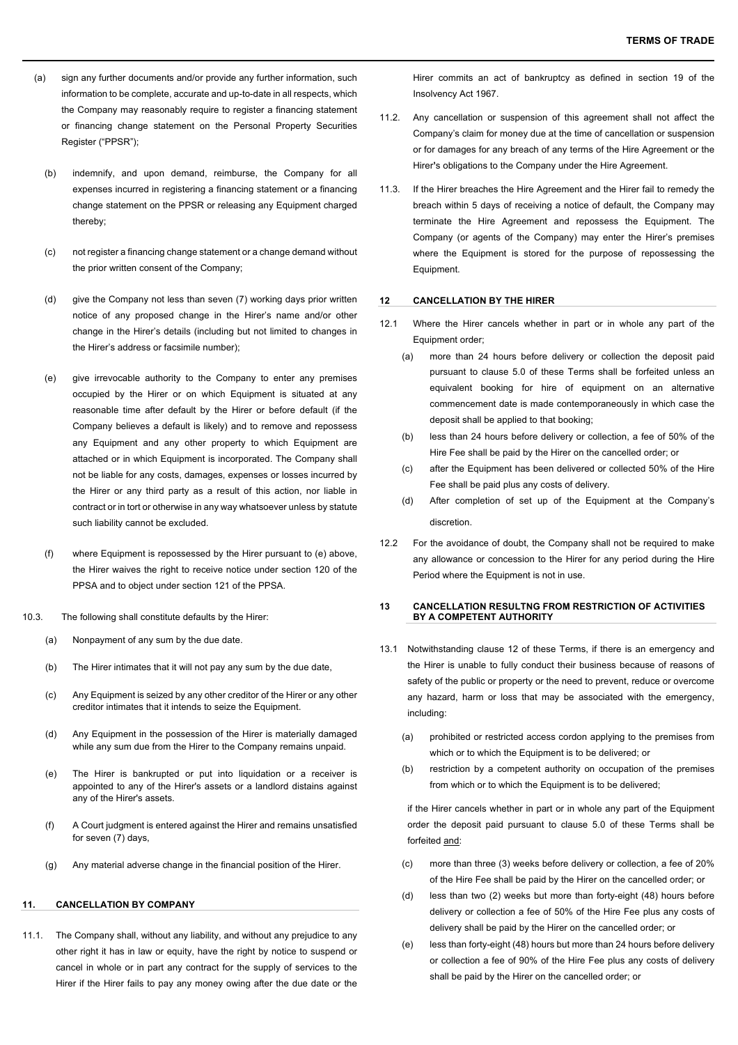- (a) sign any further documents and/or provide any further information, such information to be complete, accurate and up-to-date in all respects, which the Company may reasonably require to register a financing statement or financing change statement on the Personal Property Securities Register ("PPSR");
	- (b) indemnify, and upon demand, reimburse, the Company for all expenses incurred in registering a financing statement or a financing change statement on the PPSR or releasing any Equipment charged thereby;
	- (c) not register a financing change statement or a change demand without the prior written consent of the Company;
	- (d) give the Company not less than seven (7) working days prior written notice of any proposed change in the Hirer's name and/or other change in the Hirer's details (including but not limited to changes in the Hirer's address or facsimile number);
	- (e) give irrevocable authority to the Company to enter any premises occupied by the Hirer or on which Equipment is situated at any reasonable time after default by the Hirer or before default (if the Company believes a default is likely) and to remove and repossess any Equipment and any other property to which Equipment are attached or in which Equipment is incorporated. The Company shall not be liable for any costs, damages, expenses or losses incurred by the Hirer or any third party as a result of this action, nor liable in contract or in tort or otherwise in any way whatsoever unless by statute such liability cannot be excluded.
	- (f) where Equipment is repossessed by the Hirer pursuant to (e) above, the Hirer waives the right to receive notice under section 120 of the PPSA and to object under section 121 of the PPSA.
- 10.3. The following shall constitute defaults by the Hirer:
	- (a) Nonpayment of any sum by the due date.
	- (b) The Hirer intimates that it will not pay any sum by the due date,
	- (c) Any Equipment is seized by any other creditor of the Hirer or any other creditor intimates that it intends to seize the Equipment.
	- (d) Any Equipment in the possession of the Hirer is materially damaged while any sum due from the Hirer to the Company remains unpaid.
	- (e) The Hirer is bankrupted or put into liquidation or a receiver is appointed to any of the Hirer's assets or a landlord distains against any of the Hirer's assets.
	- (f) A Court judgment is entered against the Hirer and remains unsatisfied for seven (7) days,
	- (g) Any material adverse change in the financial position of the Hirer.

# **11. CANCELLATION BY COMPANY**

11.1. The Company shall, without any liability, and without any prejudice to any other right it has in law or equity, have the right by notice to suspend or cancel in whole or in part any contract for the supply of services to the Hirer if the Hirer fails to pay any money owing after the due date or the

Hirer commits an act of bankruptcy as defined in section 19 of the Insolvency Act 1967.

- 11.2. Any cancellation or suspension of this agreement shall not affect the Company's claim for money due at the time of cancellation or suspension or for damages for any breach of any terms of the Hire Agreement or the Hirer**'**s obligations to the Company under the Hire Agreement.
- 11.3. If the Hirer breaches the Hire Agreement and the Hirer fail to remedy the breach within 5 days of receiving a notice of default, the Company may terminate the Hire Agreement and repossess the Equipment. The Company (or agents of the Company) may enter the Hirer's premises where the Equipment is stored for the purpose of repossessing the **Equipment**

### **12 CANCELLATION BY THE HIRER**

- 12.1 Where the Hirer cancels whether in part or in whole any part of the Equipment order;
	- (a) more than 24 hours before delivery or collection the deposit paid pursuant to clause 5.0 of these Terms shall be forfeited unless an equivalent booking for hire of equipment on an alternative commencement date is made contemporaneously in which case the deposit shall be applied to that booking;
	- (b) less than 24 hours before delivery or collection, a fee of 50% of the Hire Fee shall be paid by the Hirer on the cancelled order; or
	- (c) after the Equipment has been delivered or collected 50% of the Hire Fee shall be paid plus any costs of delivery.
	- (d) After completion of set up of the Equipment at the Company's discretion.
- 12.2 For the avoidance of doubt, the Company shall not be required to make any allowance or concession to the Hirer for any period during the Hire Period where the Equipment is not in use.

## **13 CANCELLATION RESULTNG FROM RESTRICTION OF ACTIVITIES BY A COMPETENT AUTHORITY**

- 13.1 Notwithstanding clause 12 of these Terms, if there is an emergency and the Hirer is unable to fully conduct their business because of reasons of safety of the public or property or the need to prevent, reduce or overcome any hazard, harm or loss that may be associated with the emergency, including:
	- (a) prohibited or restricted access cordon applying to the premises from which or to which the Equipment is to be delivered; or
	- (b) restriction by a competent authority on occupation of the premises from which or to which the Equipment is to be delivered;

if the Hirer cancels whether in part or in whole any part of the Equipment order the deposit paid pursuant to clause 5.0 of these Terms shall be forfeited and:

- (c) more than three (3) weeks before delivery or collection, a fee of 20% of the Hire Fee shall be paid by the Hirer on the cancelled order; or
- (d) less than two (2) weeks but more than forty-eight (48) hours before delivery or collection a fee of 50% of the Hire Fee plus any costs of delivery shall be paid by the Hirer on the cancelled order; or
- (e) less than forty-eight (48) hours but more than 24 hours before delivery or collection a fee of 90% of the Hire Fee plus any costs of delivery shall be paid by the Hirer on the cancelled order; or